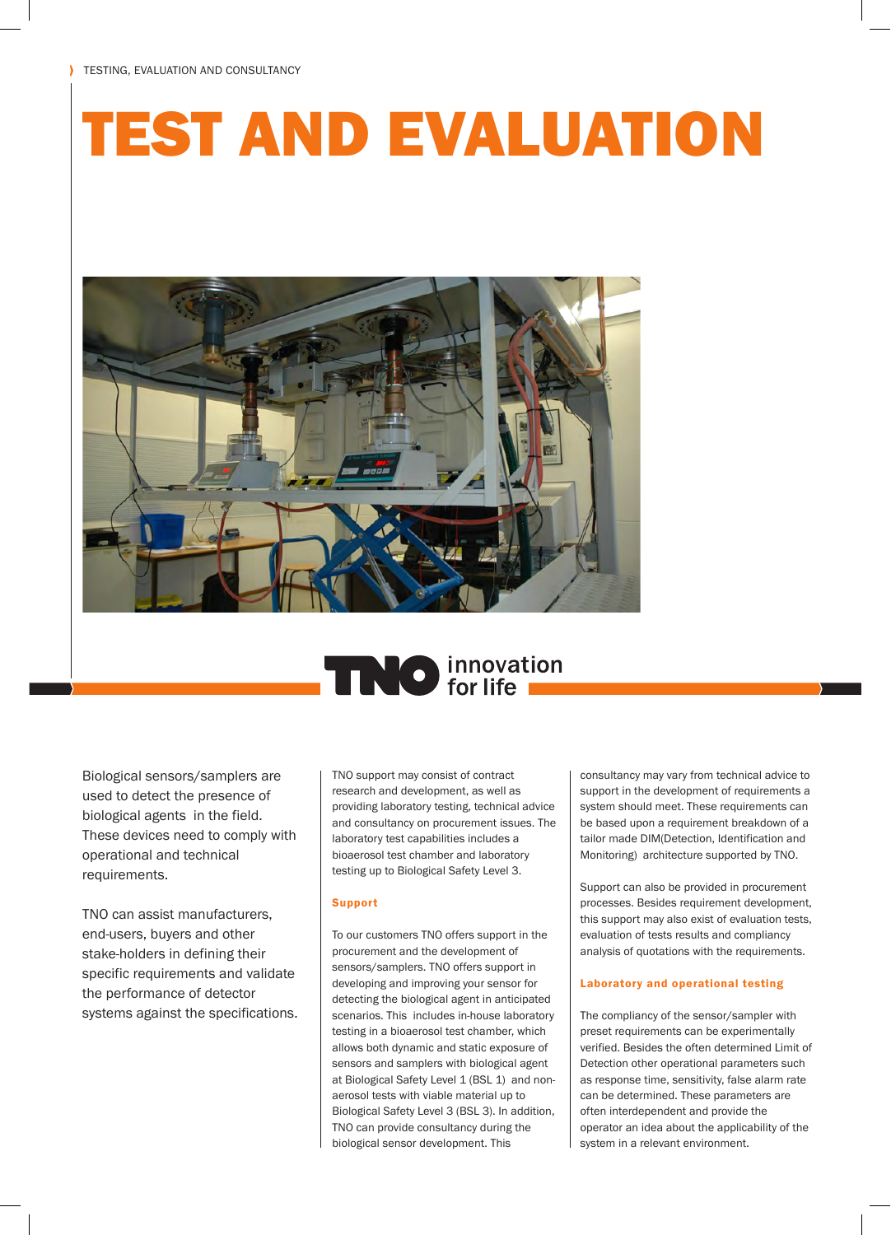# TEST AND EVALUATION



## **TNO** innovation

Biological sensors/samplers are used to detect the presence of biological agents in the field. These devices need to comply with operational and technical requirements.

TNO can assist manufacturers, end-users, buyers and other stake-holders in defining their specific requirements and validate the performance of detector systems against the specifications. TNO support may consist of contract research and development, as well as providing laboratory testing, technical advice and consultancy on procurement issues. The laboratory test capabilities includes a bioaerosol test chamber and laboratory testing up to Biological Safety Level 3.

#### Support

To our customers TNO offers support in the procurement and the development of sensors/samplers. TNO offers support in developing and improving your sensor for detecting the biological agent in anticipated scenarios. This includes in-house laboratory testing in a bioaerosol test chamber, which allows both dynamic and static exposure of sensors and samplers with biological agent at Biological Safety Level 1 (BSL 1) and nonaerosol tests with viable material up to Biological Safety Level 3 (BSL 3). In addition, TNO can provide consultancy during the biological sensor development. This

consultancy may vary from technical advice to support in the development of requirements a system should meet. These requirements can be based upon a requirement breakdown of a tailor made DIM(Detection, Identification and Monitoring) architecture supported by TNO.

Support can also be provided in procurement processes. Besides requirement development, this support may also exist of evaluation tests, evaluation of tests results and compliancy analysis of quotations with the requirements.

#### Laboratory and operational testing

The compliancy of the sensor/sampler with preset requirements can be experimentally verified. Besides the often determined Limit of Detection other operational parameters such as response time, sensitivity, false alarm rate can be determined. These parameters are often interdependent and provide the operator an idea about the applicability of the system in a relevant environment.